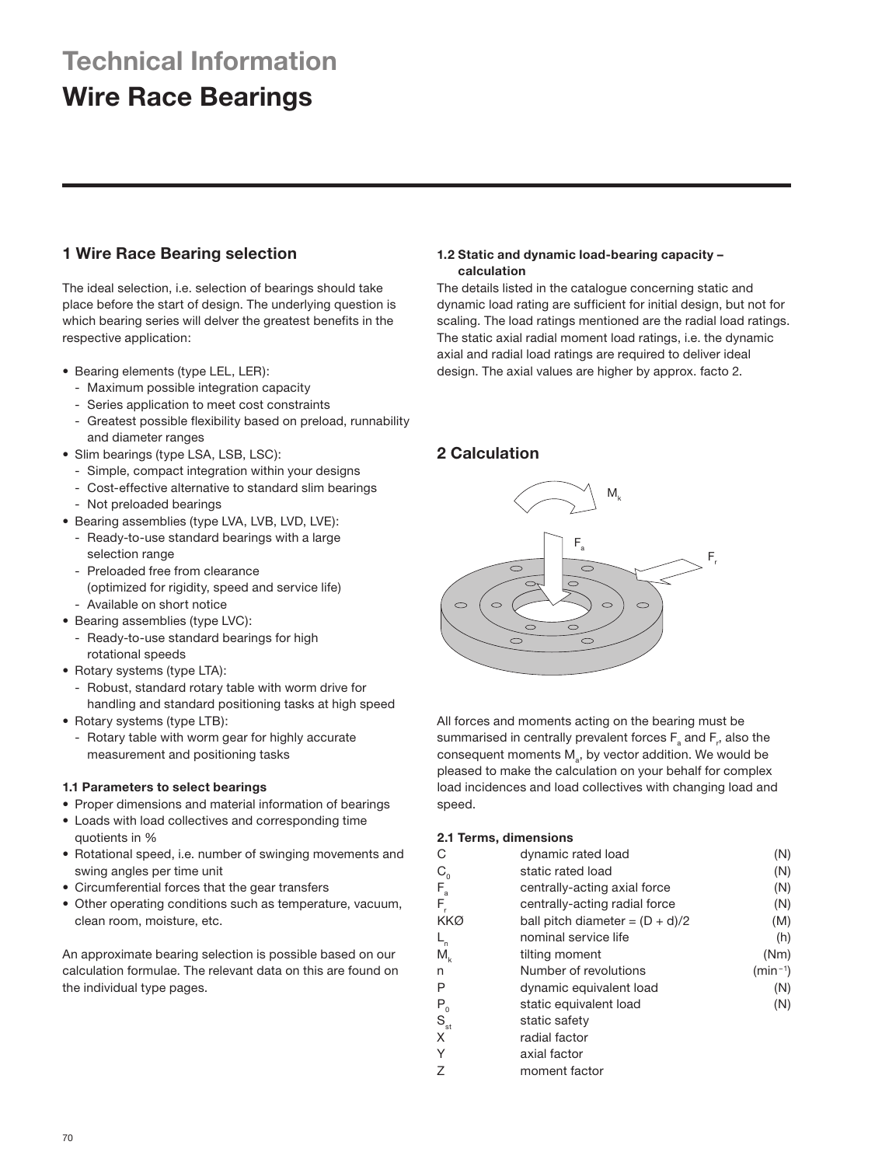# **Technical Information**

# **Wire Race Bearings**

# **1 Wire Race Bearing selection**

The ideal selection, i.e. selection of bearings should take place before the start of design. The underlying question is which bearing series will delver the greatest benefits in the respective application:

- Bearing elements (type LEL, LER):
	- Maximum possible integration capacity
	- Series application to meet cost constraints
	- Greatest possible flexibility based on preload, runnability and diameter ranges
- Slim bearings (type LSA, LSB, LSC):
	- Simple, compact integration within your designs
	- Cost-effective alternative to standard slim bearings
	- Not preloaded bearings
- Bearing assemblies (type LVA, LVB, LVD, LVE):
	- Ready-to-use standard bearings with a large selection range
	- Preloaded free from clearance
	- (optimized for rigidity, speed and service life)
- Available on short notice • Bearing assemblies (type LVC):
- Ready-to-use standard bearings for high
- rotational speeds
- Rotary systems (type LTA):
	- Robust, standard rotary table with worm drive for handling and standard positioning tasks at high speed
- Rotary systems (type LTB):
	- Rotary table with worm gear for highly accurate measurement and positioning tasks

# **1.1 Parameters to select bearings**

- Proper dimensions and material information of bearings
- Loads with load collectives and corresponding time quotients in %
- Rotational speed, i.e. number of swinging movements and swing angles per time unit
- Circumferential forces that the gear transfers
- Other operating conditions such as temperature, vacuum, clean room, moisture, etc.

An approximate bearing selection is possible based on our calculation formulae. The relevant data on this are found on the individual type pages.

# **1.2 Static and dynamic load-bearing capacity – calculation**

The details listed in the catalogue concerning static and dynamic load rating are sufficient for initial design, but not for scaling. The load ratings mentioned are the radial load ratings. The static axial radial moment load ratings, i.e. the dynamic axial and radial load ratings are required to deliver ideal design. The axial values are higher by approx. facto 2.

# **2 Calculation**



All forces and moments acting on the bearing must be summarised in centrally prevalent forces  $\mathsf{F}_{\tiny a}$  and  $\mathsf{F}_{\tiny r}$ , also the consequent moments  $M_{a}$ , by vector addition. We would be pleased to make the calculation on your behalf for complex load incidences and load collectives with changing load and speed.

# **2.1 Terms, dimensions**

| С                                             | dynamic rated load                | (N)          |
|-----------------------------------------------|-----------------------------------|--------------|
| $C_{\alpha}$                                  | static rated load                 | (N)          |
|                                               | centrally-acting axial force      | (N)          |
| $F_a$<br>$F_r$                                | centrally-acting radial force     | (N)          |
| KKØ                                           | ball pitch diameter = $(D + d)/2$ | (M)          |
| $L_{n}$                                       | nominal service life              | (h)          |
| $\mathsf{M}_{\scriptscriptstyle{\mathsf{k}}}$ | tilting moment                    | (Nm)         |
| n                                             | Number of revolutions             | $(min^{-1})$ |
| Ρ                                             | dynamic equivalent load           | (N)          |
|                                               | static equivalent load            | (N)          |
| $P_{_{\mathrm{St}}}$                          | static safety                     |              |
| X                                             | radial factor                     |              |
| Υ                                             | axial factor                      |              |
| Z                                             | moment factor                     |              |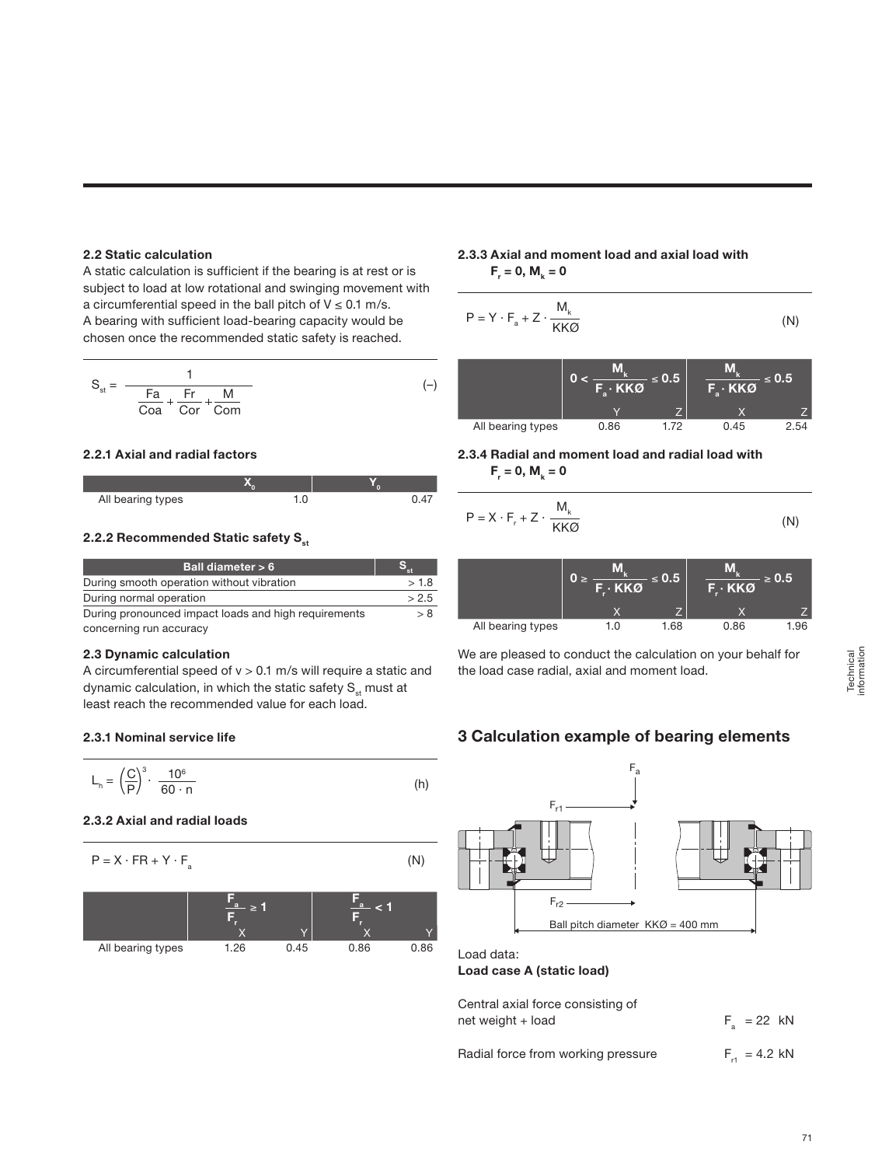### **2.2 Static calculation**

A static calculation is sufficient if the bearing is at rest or is subject to load at low rotational and swinging movement with a circumferential speed in the ball pitch of  $V \le 0.1$  m/s. A bearing with sufficient load-bearing capacity would be chosen once the recommended static safety is reached.

$$
S_{st} = \frac{1}{\frac{Fa}{Coa} + \frac{Fr}{Cor} + \frac{M}{Com}}
$$
 (–)

## **2.2.1 Axial and radial factors**

| All bearing types |  |
|-------------------|--|

# **2.2.2 Recommended Static safety S<sub>st</sub>**

| Ball diameter > 6                                    |       |
|------------------------------------------------------|-------|
| During smooth operation without vibration            | >1.8  |
| During normal operation                              | > 2.5 |
| During pronounced impact loads and high requirements |       |

concerning run accuracy

# **2.3 Dynamic calculation**

A circumferential speed of  $v > 0.1$  m/s will require a static and dynamic calculation, in which the static safety  $S_{st}$  must at least reach the recommended value for each load.

## **2.3.1 Nominal service life**

$$
L_{h} = \left(\frac{C}{P}\right)^{3} \cdot \frac{10^{6}}{60 \cdot n}
$$
 (h)

## **2.3.2 Axial and radial loads**

$$
P = X \cdot FR + Y \cdot F_a \tag{N}
$$



# **2.3.3 Axial and moment load and axial load with**   $F_r = 0, M_k = 0$

$$
P = Y \cdot F_a + Z \cdot \frac{M_k}{KK\varnothing} \tag{N}
$$





$$
P = X \cdot F_r + Z \cdot \frac{M_k}{KK\emptyset} \tag{N}
$$

|                   | 0.5<br><b>F.</b> · KKØ |      | 0.5<br>$F \cdot KKØ$ |      |
|-------------------|------------------------|------|----------------------|------|
|                   |                        |      |                      |      |
| All bearing types | 1.0                    | 1.68 | 0.86                 | 1.96 |

We are pleased to conduct the calculation on your behalf for the load case radial, axial and moment load.

# **3 Calculation example of bearing elements**



**Load case A (static load)**

Central axial force consisting of net weight + load

Radial force from working pressure  $F_{rt} = 4.2 \text{ kN}$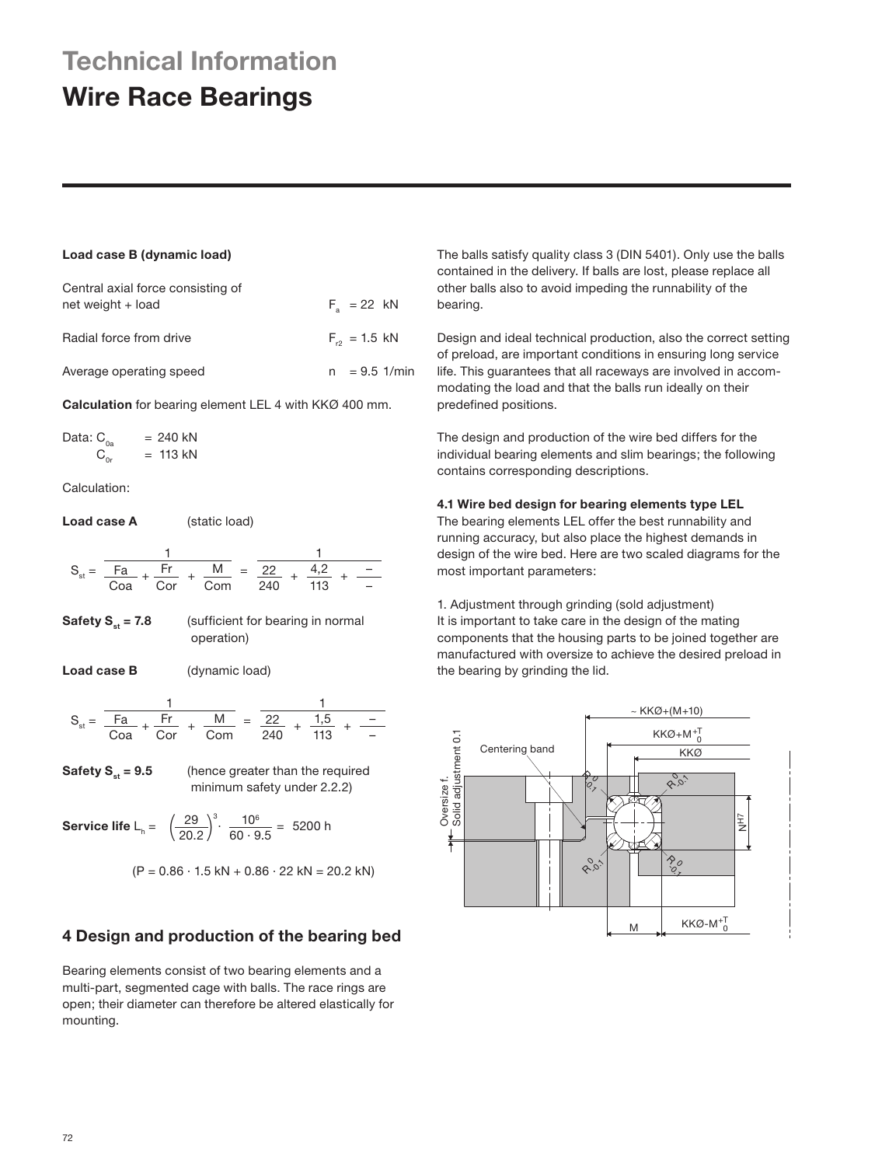# **Technical Information Wire Race Bearings**

# **Load case B (dynamic load)**

| Central axial force consisting of<br>net weight + load | $F_a = 22$ kN     |  |
|--------------------------------------------------------|-------------------|--|
| Radial force from drive                                | $F_{r2} = 1.5$ kN |  |
| Average operating speed                                | $= 9.5$ 1/min     |  |

**Calculation** for bearing element LEL 4 with KKØ 400 mm.

Data:  $C_{0a}$  = 240 kN  $C_{0r}$  = 113 kN

Calculation:

**Load case A** (static load)

$$
S_{st} = \frac{1}{\frac{Fa}{Coa} + \frac{Fr}{Cor} + \frac{M}{Com}} = \frac{1}{\frac{22}{240} + \frac{4,2}{113} + \frac{1}{-}}
$$

- **Safety S<sub>st</sub> = 7.8** (sufficient for bearing in normal operation)
- Load case **B** (dynamic load)

$$
S_{st} = \frac{1}{\frac{Fa}{Coa} + \frac{Fr}{Cor} + \frac{M}{Com}} = \frac{1}{\frac{22}{240} + \frac{1,5}{113} + \frac{-1}{-}}
$$

**Safety S<sub>st</sub> = 9.5** (hence greater than the required minimum safety under 2.2.2)

**Service life**  $L_h = \left(\frac{29}{20.2}\right)^3 \cdot \frac{10^6}{60 \cdot 9.5} = 5200$  h

$$
(P = 0.86 \cdot 1.5 \text{ kN} + 0.86 \cdot 22 \text{ kN} = 20.2 \text{ kN})
$$

# **4 Design and production of the bearing bed**

Bearing elements consist of two bearing elements and a multi-part, segmented cage with balls. The race rings are open; their diameter can therefore be altered elastically for mounting.

The balls satisfy quality class 3 (DIN 5401). Only use the balls contained in the delivery. If balls are lost, please replace all other balls also to avoid impeding the runnability of the bearing.

Design and ideal technical production, also the correct setting of preload, are important conditions in ensuring long service life. This guarantees that all raceways are involved in accommodating the load and that the balls run ideally on their predefined positions.

The design and production of the wire bed differs for the individual bearing elements and slim bearings; the following contains corresponding descriptions.

## **4.1 Wire bed design for bearing elements type LEL**

The bearing elements LEL offer the best runnability and running accuracy, but also place the highest demands in design of the wire bed. Here are two scaled diagrams for the most important parameters:

1. Adjustment through grinding (sold adjustment) It is important to take care in the design of the mating components that the housing parts to be joined together are manufactured with oversize to achieve the desired preload in the bearing by grinding the lid.

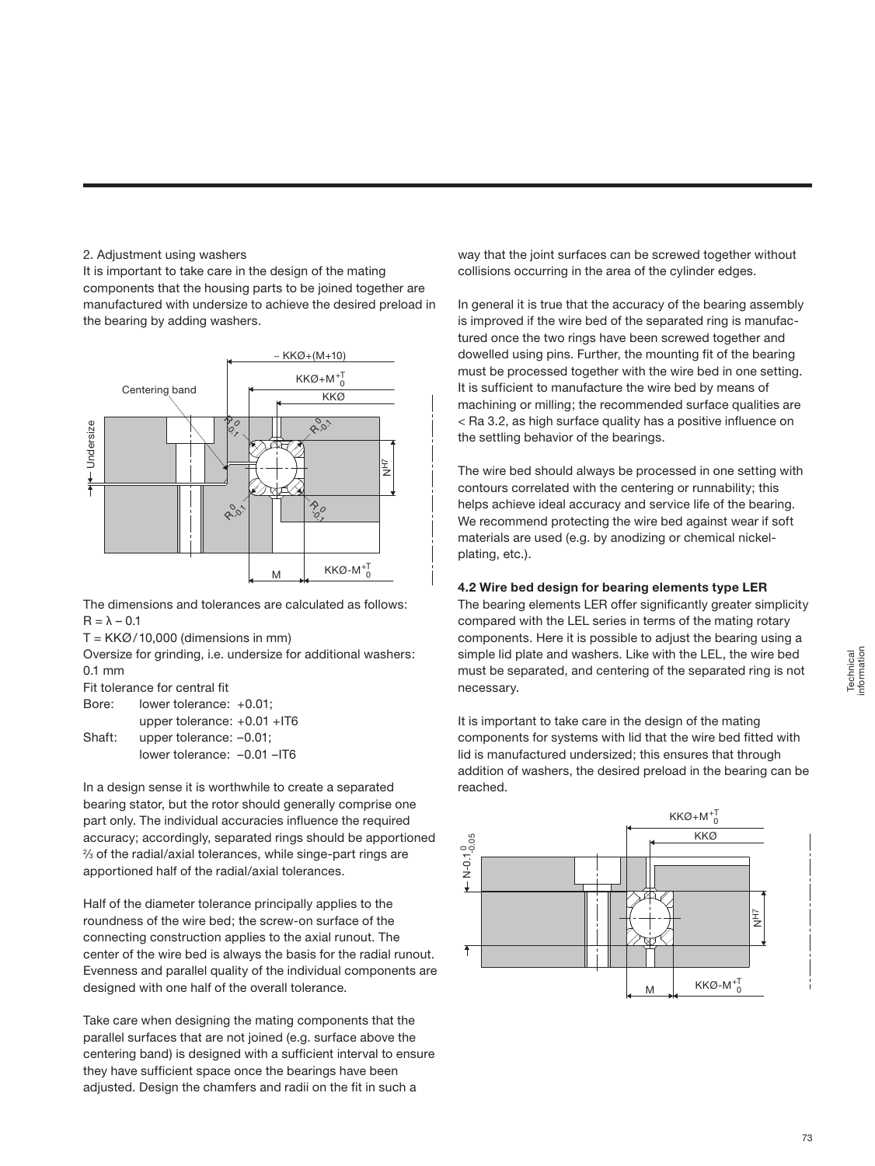## 2. Adjustment using washers

It is important to take care in the design of the mating components that the housing parts to be joined together are manufactured with undersize to achieve the desired preload in the bearing by adding washers.



The dimensions and tolerances are calculated as follows:  $R = \lambda - 0.1$ 

 $T = KKØ/10,000$  (dimensions in mm)

Oversize for grinding, i.e. undersize for additional washers: 0.1 mm

Fit tolerance for central fit

| Bore:  | lower tolerance: +0.01;          |
|--------|----------------------------------|
|        | upper tolerance: $+0.01$ +IT6    |
| Shaft: | upper tolerance: $-0.01$ ;       |
|        | lower tolerance: $-0.01$ $-$ IT6 |

In a design sense it is worthwhile to create a separated bearing stator, but the rotor should generally comprise one part only. The individual accuracies influence the required accuracy; accordingly, separated rings should be apportioned 2 ⁄3 of the radial/axial tolerances, while singe-part rings are apportioned half of the radial/axial tolerances.

Half of the diameter tolerance principally applies to the roundness of the wire bed; the screw-on surface of the connecting construction applies to the axial runout. The center of the wire bed is always the basis for the radial runout. Evenness and parallel quality of the individual components are designed with one half of the overall tolerance.

Take care when designing the mating components that the parallel surfaces that are not joined (e.g. surface above the centering band) is designed with a sufficient interval to ensure they have sufficient space once the bearings have been adjusted. Design the chamfers and radii on the fit in such a

way that the joint surfaces can be screwed together without collisions occurring in the area of the cylinder edges.

In general it is true that the accuracy of the bearing assembly is improved if the wire bed of the separated ring is manufactured once the two rings have been screwed together and dowelled using pins. Further, the mounting fit of the bearing must be processed together with the wire bed in one setting. It is sufficient to manufacture the wire bed by means of machining or milling; the recommended surface qualities are < Ra 3.2, as high surface quality has a positive influence on the settling behavior of the bearings.

The wire bed should always be processed in one setting with contours correlated with the centering or runnability; this helps achieve ideal accuracy and service life of the bearing. We recommend protecting the wire bed against wear if soft materials are used (e.g. by anodizing or chemical nickelplating, etc.).

# **4.2 Wire bed design for bearing elements type LER**

The bearing elements LER offer significantly greater simplicity compared with the LEL series in terms of the mating rotary components. Here it is possible to adjust the bearing using a simple lid plate and washers. Like with the LEL, the wire bed must be separated, and centering of the separated ring is not necessary.

It is important to take care in the design of the mating components for systems with lid that the wire bed fitted with lid is manufactured undersized; this ensures that through addition of washers, the desired preload in the bearing can be reached.

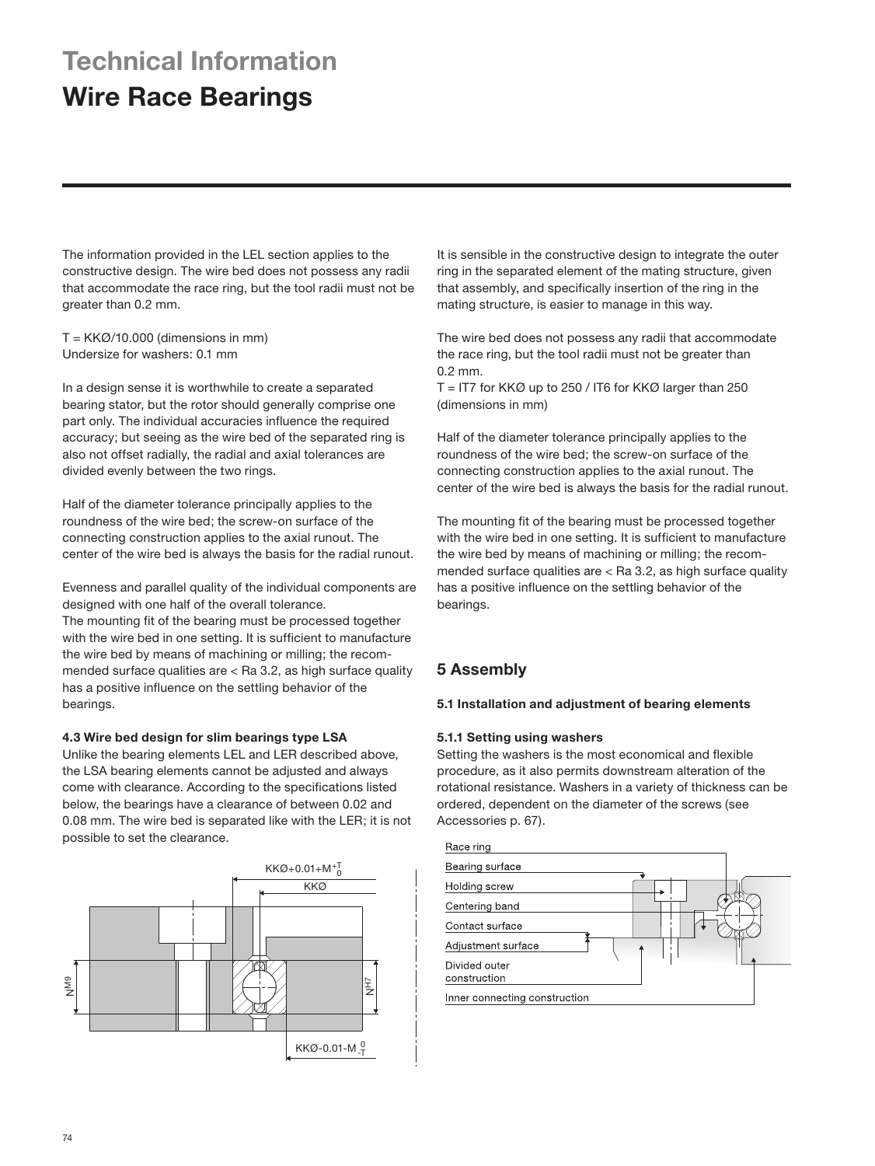# **Technical Information Wire Race Bearings**

The information provided in the LEL section applies to the constructive design. The wire bed does not possess any radii that accommodate the race ring, but the tool radii must not be greater than 0.2 mm.

 $T = KKØ/10.000$  (dimensions in mm) Undersize for washers: 0.1 mm

In a design sense it is worthwhile to create a separated bearing stator, but the rotor should generally comprise one part only. The individual accuracies influence the required accuracy; but seeing as the wire bed of the separated ring is also not offset radially, the radial and axial tolerances are divided evenly between the two rings.

Half of the diameter tolerance principally applies to the roundness of the wire bed; the screw-on surface of the connecting construction applies to the axial runout. The center of the wire bed is always the basis for the radial runout.

Evenness and parallel quality of the individual components are designed with one half of the overall tolerance. The mounting fit of the bearing must be processed together with the wire bed in one setting. It is sufficient to manufacture the wire bed by means of machining or milling; the recommended surface qualities are < Ra 3.2, as high surface quality has a positive influence on the settling behavior of the bearings.

### **4.3 Wire bed design for slim bearings type LSA**

Unlike the bearing elements LEL and LER described above, the LSA bearing elements cannot be adjusted and always come with clearance. According to the specifications listed below, the bearings have a clearance of between 0.02 and 0.08 mm. The wire bed is separated like with the LER; it is not possible to set the clearance.



It is sensible in the constructive design to integrate the outer ring in the separated element of the mating structure, given that assembly, and specifically insertion of the ring in the mating structure, is easier to manage in this way.

The wire bed does not possess any radii that accommodate the race ring, but the tool radii must not be greater than 0.2 mm.

 $T = I T7$  for KKØ up to 250 / IT6 for KKØ larger than 250 (dimensions in mm)

Half of the diameter tolerance principally applies to the roundness of the wire bed; the screw-on surface of the connecting construction applies to the axial runout. The center of the wire bed is always the basis for the radial runout.

The mounting fit of the bearing must be processed together with the wire bed in one setting. It is sufficient to manufacture the wire bed by means of machining or milling; the recommended surface qualities are < Ra 3.2, as high surface quality has a positive influence on the settling behavior of the bearings.

# **5 Assembly**

### **5.1 Installation and adjustment of bearing elements**

# **5.1.1 Setting using washers**

Setting the washers is the most economical and flexible procedure, as it also permits downstream alteration of the rotational resistance. Washers in a variety of thickness can be ordered, dependent on the diameter of the screws (see Accessories p. 67).

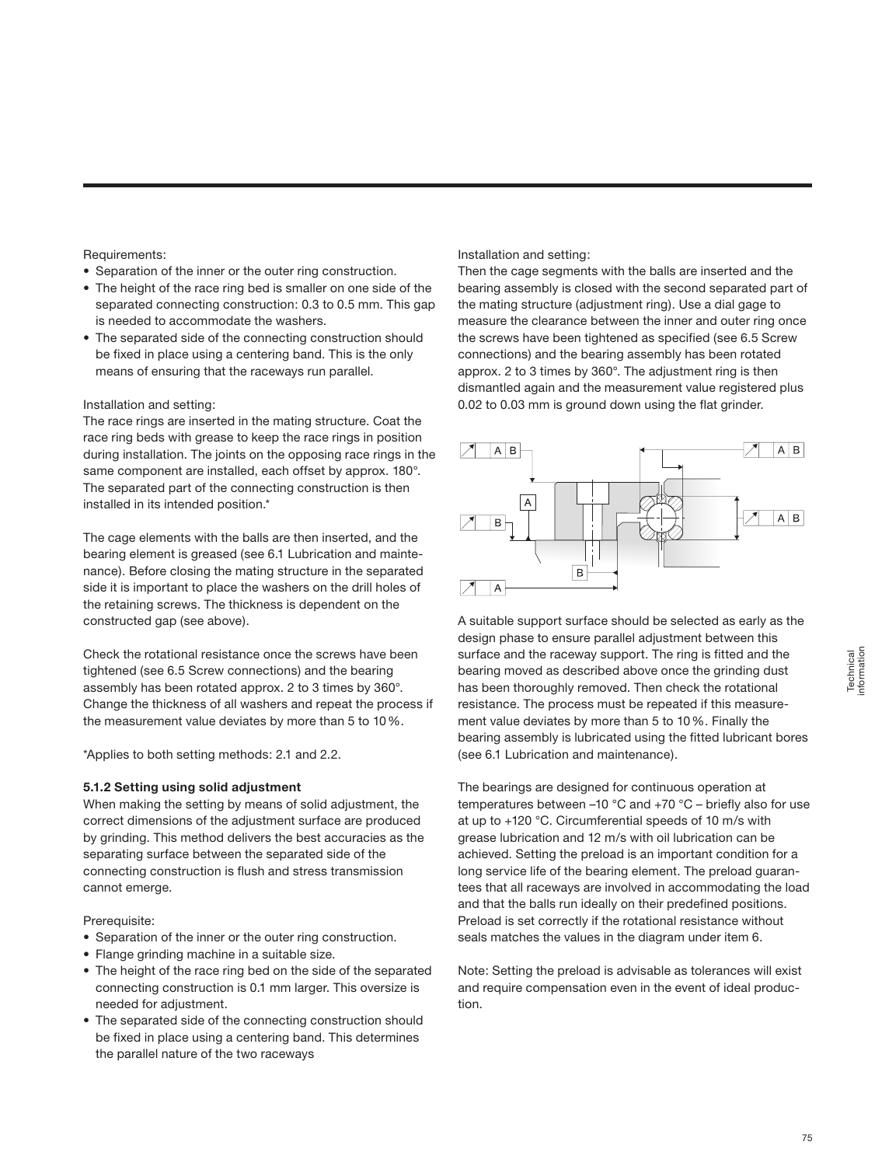### Requirements:

- Separation of the inner or the outer ring construction.
- The height of the race ring bed is smaller on one side of the separated connecting construction: 0.3 to 0.5 mm. This gap is needed to accommodate the washers.
- The separated side of the connecting construction should be fixed in place using a centering band. This is the only means of ensuring that the raceways run parallel.

## Installation and setting:

The race rings are inserted in the mating structure. Coat the race ring beds with grease to keep the race rings in position during installation. The joints on the opposing race rings in the same component are installed, each offset by approx. 180°. The separated part of the connecting construction is then installed in its intended position.\*

The cage elements with the balls are then inserted, and the bearing element is greased (see 6.1 Lubrication and maintenance). Before closing the mating structure in the separated side it is important to place the washers on the drill holes of the retaining screws. The thickness is dependent on the constructed gap (see above).

Check the rotational resistance once the screws have been tightened (see 6.5 Screw connections) and the bearing assembly has been rotated approx. 2 to 3 times by 360°. Change the thickness of all washers and repeat the process if the measurement value deviates by more than 5 to 10%.

\*Applies to both setting methods: 2.1 and 2.2.

# **5.1.2 Setting using solid adjustment**

When making the setting by means of solid adjustment, the correct dimensions of the adjustment surface are produced by grinding. This method delivers the best accuracies as the separating surface between the separated side of the connecting construction is flush and stress transmission cannot emerge.

# Prerequisite:

- Separation of the inner or the outer ring construction.
- Flange grinding machine in a suitable size.
- The height of the race ring bed on the side of the separated connecting construction is 0.1 mm larger. This oversize is needed for adjustment.
- The separated side of the connecting construction should be fixed in place using a centering band. This determines the parallel nature of the two raceways

### Installation and setting:

Then the cage segments with the balls are inserted and the bearing assembly is closed with the second separated part of the mating structure (adjustment ring). Use a dial gage to measure the clearance between the inner and outer ring once the screws have been tightened as specified (see 6.5 Screw connections) and the bearing assembly has been rotated approx. 2 to 3 times by 360°. The adjustment ring is then dismantled again and the measurement value registered plus 0.02 to 0.03 mm is ground down using the flat grinder.



A suitable support surface should be selected as early as the design phase to ensure parallel adjustment between this surface and the raceway support. The ring is fitted and the bearing moved as described above once the grinding dust has been thoroughly removed. Then check the rotational resistance. The process must be repeated if this measurement value deviates by more than 5 to 10%. Finally the bearing assembly is lubricated using the fitted lubricant bores (see 6.1 Lubrication and maintenance).

The bearings are designed for continuous operation at temperatures between –10 °C and +70 °C – briefly also for use at up to +120 °C. Circumferential speeds of 10 m/s with grease lubrication and 12 m/s with oil lubrication can be achieved. Setting the preload is an important condition for a long service life of the bearing element. The preload guarantees that all raceways are involved in accommodating the load and that the balls run ideally on their predefined positions. Preload is set correctly if the rotational resistance without seals matches the values in the diagram under item 6.

Note: Setting the preload is advisable as tolerances will exist and require compensation even in the event of ideal production.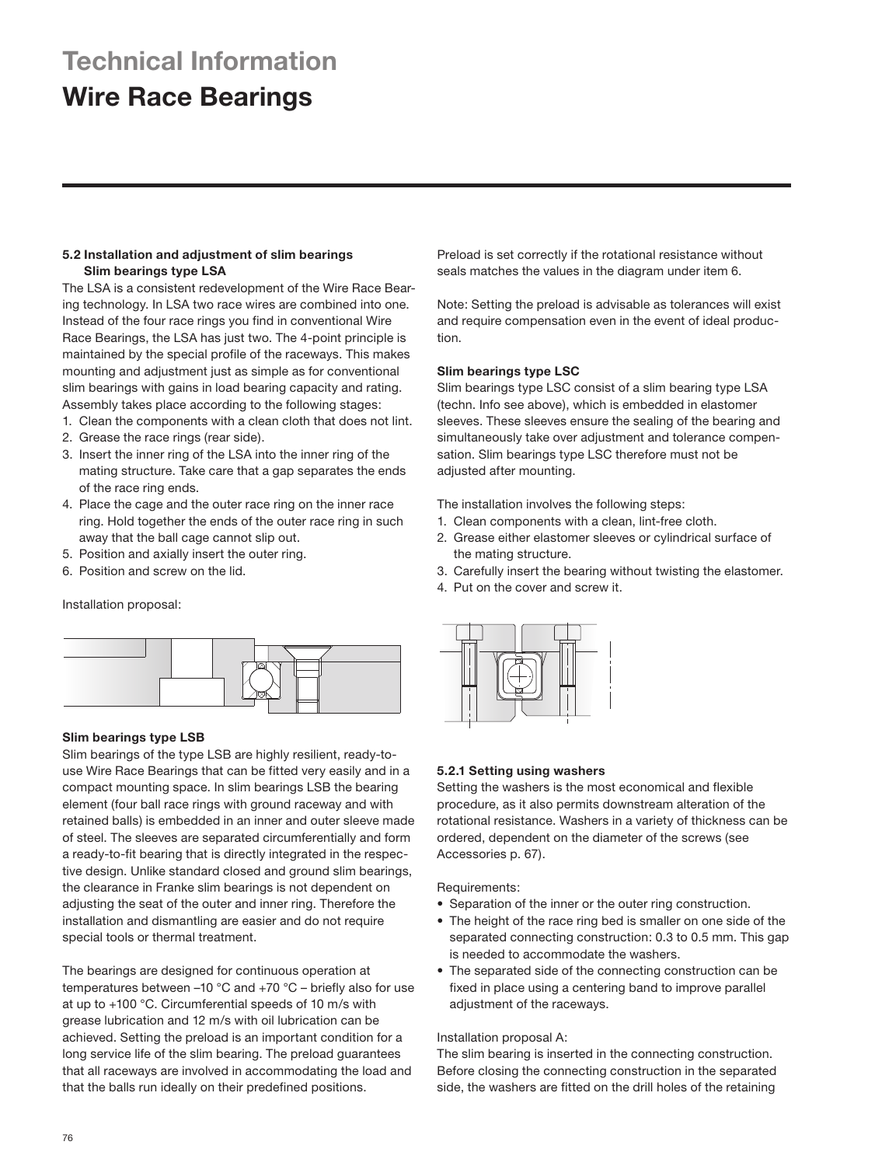# **Technical Information**

# **Wire Race Bearings**

# **5.2 Installation and adjustment of slim bearings Slim bearings type LSA**

The LSA is a consistent redevelopment of the Wire Race Bearing technology. In LSA two race wires are combined into one. Instead of the four race rings you find in conventional Wire Race Bearings, the LSA has just two. The 4-point principle is maintained by the special profile of the raceways. This makes mounting and adjustment just as simple as for conventional slim bearings with gains in load bearing capacity and rating. Assembly takes place according to the following stages:

- 1. Clean the components with a clean cloth that does not lint.
- 2. Grease the race rings (rear side).
- 3. Insert the inner ring of the LSA into the inner ring of the mating structure. Take care that a gap separates the ends of the race ring ends.
- 4. Place the cage and the outer race ring on the inner race ring. Hold together the ends of the outer race ring in such away that the ball cage cannot slip out.
- 5. Position and axially insert the outer ring.
- 6. Position and screw on the lid.

# Installation proposal:



# **Slim bearings type LSB**

Slim bearings of the type LSB are highly resilient, ready-touse Wire Race Bearings that can be fitted very easily and in a compact mounting space. In slim bearings LSB the bearing element (four ball race rings with ground raceway and with retained balls) is embedded in an inner and outer sleeve made of steel. The sleeves are separated circumferentially and form a ready-to-fit bearing that is directly integrated in the respective design. Unlike standard closed and ground slim bearings, the clearance in Franke slim bearings is not dependent on adjusting the seat of the outer and inner ring. Therefore the installation and dismantling are easier and do not require special tools or thermal treatment.

The bearings are designed for continuous operation at temperatures between –10 °C and +70 °C – briefly also for use at up to +100 °C. Circumferential speeds of 10 m/s with grease lubrication and 12 m/s with oil lubrication can be achieved. Setting the preload is an important condition for a long service life of the slim bearing. The preload guarantees that all raceways are involved in accommodating the load and that the balls run ideally on their predefined positions.

Preload is set correctly if the rotational resistance without seals matches the values in the diagram under item 6.

Note: Setting the preload is advisable as tolerances will exist and require compensation even in the event of ideal production.

# **Slim bearings type LSC**

Slim bearings type LSC consist of a slim bearing type LSA (techn. Info see above), which is embedded in elastomer sleeves. These sleeves ensure the sealing of the bearing and simultaneously take over adjustment and tolerance compensation. Slim bearings type LSC therefore must not be adjusted after mounting.

The installation involves the following steps:

- 1. Clean components with a clean, lint-free cloth.
- 2. Grease either elastomer sleeves or cylindrical surface of the mating structure.
- 3. Carefully insert the bearing without twisting the elastomer.
- 4. Put on the cover and screw it.



# **5.2.1 Setting using washers**

Setting the washers is the most economical and flexible procedure, as it also permits downstream alteration of the rotational resistance. Washers in a variety of thickness can be ordered, dependent on the diameter of the screws (see Accessories p. 67).

Requirements:

- Separation of the inner or the outer ring construction.
- The height of the race ring bed is smaller on one side of the separated connecting construction: 0.3 to 0.5 mm. This gap is needed to accommodate the washers.
- The separated side of the connecting construction can be fixed in place using a centering band to improve parallel adjustment of the raceways.

# Installation proposal A:

The slim bearing is inserted in the connecting construction. Before closing the connecting construction in the separated side, the washers are fitted on the drill holes of the retaining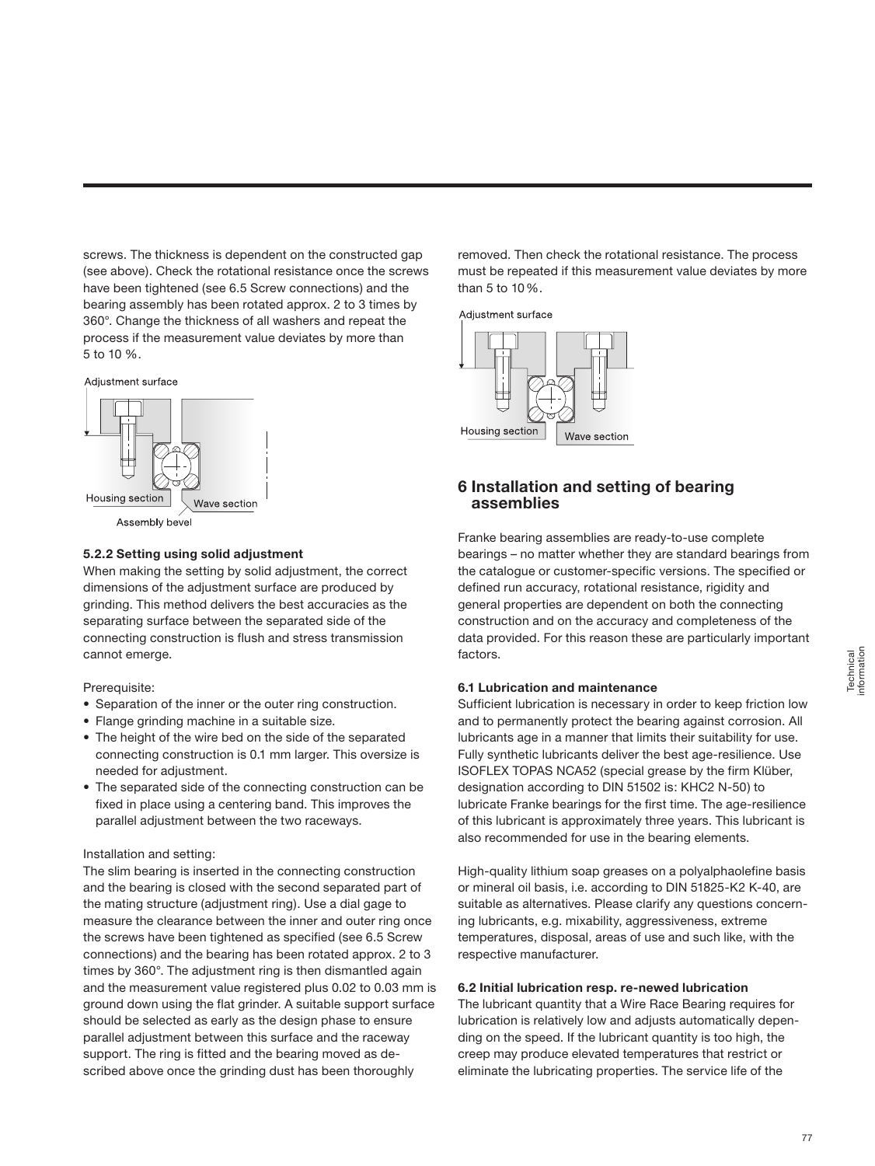screws. The thickness is dependent on the constructed gap (see above). Check the rotational resistance once the screws have been tightened (see 6.5 Screw connections) and the bearing assembly has been rotated approx. 2 to 3 times by 360°. Change the thickness of all washers and repeat the process if the measurement value deviates by more than 5 to 10 %.



### **5.2.2 Setting using solid adjustment**

When making the setting by solid adjustment, the correct dimensions of the adjustment surface are produced by grinding. This method delivers the best accuracies as the separating surface between the separated side of the connecting construction is flush and stress transmission cannot emerge.

### Prerequisite:

- Separation of the inner or the outer ring construction.
- Flange grinding machine in a suitable size.
- The height of the wire bed on the side of the separated connecting construction is 0.1 mm larger. This oversize is needed for adjustment.
- The separated side of the connecting construction can be fixed in place using a centering band. This improves the parallel adjustment between the two raceways.

### Installation and setting:

The slim bearing is inserted in the connecting construction and the bearing is closed with the second separated part of the mating structure (adjustment ring). Use a dial gage to measure the clearance between the inner and outer ring once the screws have been tightened as specified (see 6.5 Screw connections) and the bearing has been rotated approx. 2 to 3 times by 360°. The adjustment ring is then dismantled again and the measurement value registered plus 0.02 to 0.03 mm is ground down using the flat grinder. A suitable support surface should be selected as early as the design phase to ensure parallel adjustment between this surface and the raceway support. The ring is fitted and the bearing moved as described above once the grinding dust has been thoroughly

removed. Then check the rotational resistance. The process must be repeated if this measurement value deviates by more than 5 to 10%.



# **6 Installation and setting of bearing assemblies**

Franke bearing assemblies are ready-to-use complete bearings – no matter whether they are standard bearings from the catalogue or customer-specific versions. The specified or defined run accuracy, rotational resistance, rigidity and general properties are dependent on both the connecting construction and on the accuracy and completeness of the data provided. For this reason these are particularly important factors.

### **6.1 Lubrication and maintenance**

Sufficient lubrication is necessary in order to keep friction low and to permanently protect the bearing against corrosion. All lubricants age in a manner that limits their suitability for use. Fully synthetic lubricants deliver the best age-resilience. Use ISOFLEX TOPAS NCA52 (special grease by the firm Klüber, designation according to DIN 51502 is: KHC2 N-50) to lubricate Franke bearings for the first time. The age-resilience of this lubricant is approximately three years. This lubricant is also recommended for use in the bearing elements.

High-quality lithium soap greases on a polyalphaolefine basis or mineral oil basis, i.e. according to DIN 51825-K2 K-40, are suitable as alternatives. Please clarify any questions concerning lubricants, e.g. mixability, aggressiveness, extreme temperatures, disposal, areas of use and such like, with the respective manufacturer.

### **6.2 Initial lubrication resp. re-newed lubrication**

The lubricant quantity that a Wire Race Bearing requires for lubrication is relatively low and adjusts automatically depending on the speed. If the lubricant quantity is too high, the creep may produce elevated temperatures that restrict or eliminate the lubricating properties. The service life of the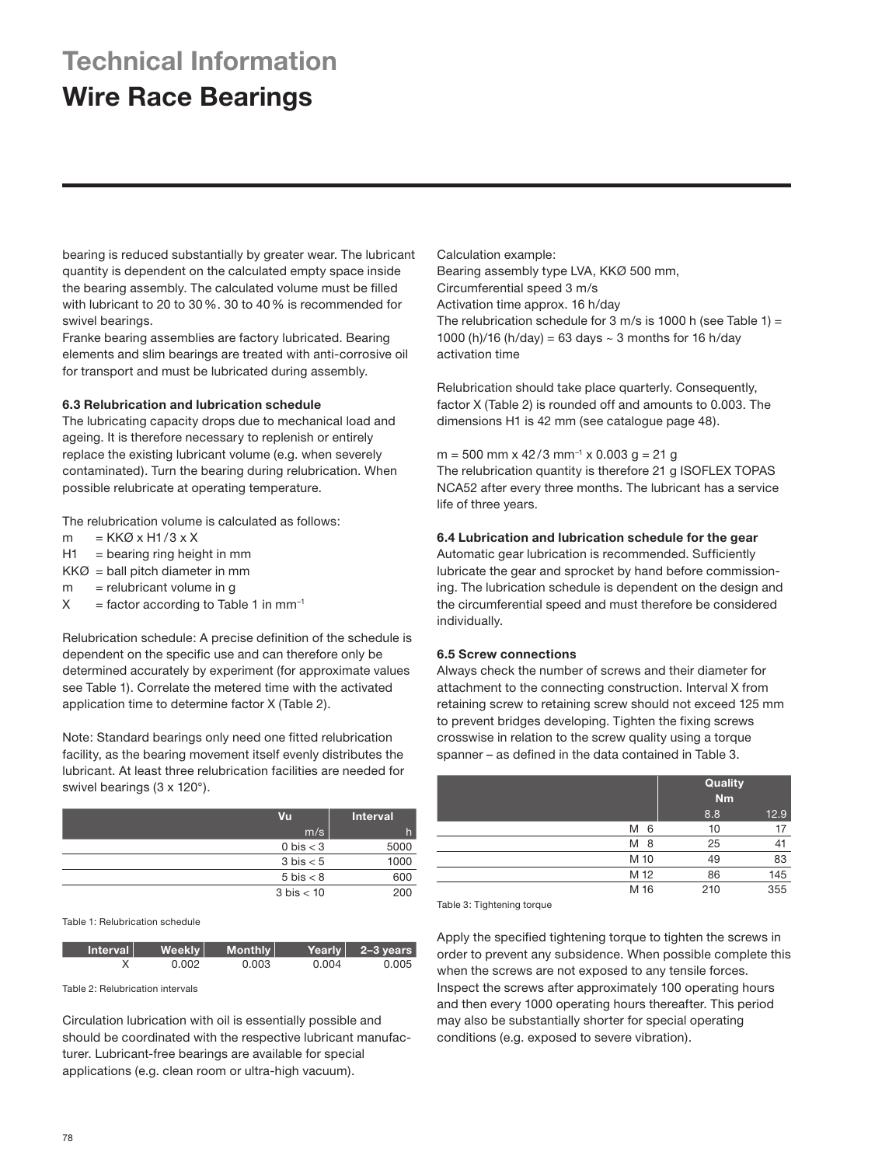# **Technical Information**

# **Wire Race Bearings**

bearing is reduced substantially by greater wear. The lubricant quantity is dependent on the calculated empty space inside the bearing assembly. The calculated volume must be filled with lubricant to 20 to 30%. 30 to 40% is recommended for swivel bearings.

Franke bearing assemblies are factory lubricated. Bearing elements and slim bearings are treated with anti-corrosive oil for transport and must be lubricated during assembly.

## **6.3 Relubrication and lubrication schedule**

The lubricating capacity drops due to mechanical load and ageing. It is therefore necessary to replenish or entirely replace the existing lubricant volume (e.g. when severely contaminated). Turn the bearing during relubrication. When possible relubricate at operating temperature.

The relubrication volume is calculated as follows:

- $m = KKØ \times H1/3 \times X$
- $H1 =$  bearing ring height in mm
- $KKØ =$  ball pitch diameter in mm
- $m =$  relubricant volume in g
- $X =$  factor according to Table 1 in mm<sup>-1</sup>

Relubrication schedule: A precise definition of the schedule is dependent on the specific use and can therefore only be determined accurately by experiment (for approximate values see Table 1). Correlate the metered time with the activated application time to determine factor X (Table 2).

Note: Standard bearings only need one fitted relubrication facility, as the bearing movement itself evenly distributes the lubricant. At least three relubrication facilities are needed for swivel bearings (3 x 120°).

| Vu                   | <b>Interval</b> |
|----------------------|-----------------|
| m/s                  | h               |
| 0 bis $<$ 3          | 5000            |
| $3 \text{ bis} < 5$  | 1000            |
| $5 \text{ bis} < 8$  | 600             |
| $3 \text{ bis} < 10$ | 200             |

Table 1: Relubrication schedule

| Interval | Weekly | Monthly |       | Yearly $\vert$ 2-3 years |
|----------|--------|---------|-------|--------------------------|
|          | 0.002  | 0.003   | 0.004 | 0.005                    |

Table 2: Relubrication intervals

Circulation lubrication with oil is essentially possible and should be coordinated with the respective lubricant manufacturer. Lubricant-free bearings are available for special applications (e.g. clean room or ultra-high vacuum).

Calculation example: Bearing assembly type LVA, KKØ 500 mm, Circumferential speed 3 m/s Activation time approx. 16 h/day The relubrication schedule for 3 m/s is 1000 h (see Table 1) = 1000 (h)/16 (h/day) = 63 days  $\sim$  3 months for 16 h/day activation time

Relubrication should take place quarterly. Consequently, factor X (Table 2) is rounded off and amounts to 0.003. The dimensions H1 is 42 mm (see catalogue page 48).

 $m = 500$  mm x 42/3 mm<sup>-1</sup> x 0.003 g = 21 g The relubrication quantity is therefore 21 g ISOFLEX TOPAS NCA52 after every three months. The lubricant has a service life of three years.

# **6.4 Lubrication and lubrication schedule for the gear**

Automatic gear lubrication is recommended. Sufficiently lubricate the gear and sprocket by hand before commissioning. The lubrication schedule is dependent on the design and the circumferential speed and must therefore be considered individually.

# **6.5 Screw connections**

Always check the number of screws and their diameter for attachment to the connecting construction. Interval X from retaining screw to retaining screw should not exceed 125 mm to prevent bridges developing. Tighten the fixing screws crosswise in relation to the screw quality using a torque spanner – as defined in the data contained in Table 3.

|        | Quality<br><b>Nm</b> |  |
|--------|----------------------|--|
|        | 8.8<br>12.9          |  |
| M<br>6 | 10<br>17             |  |
| M<br>8 | 25<br>41             |  |
| M 10   | 83<br>49             |  |
| M 12   | 145<br>86            |  |
| M 16   | 355<br>210           |  |

Table 3: Tightening torque

Apply the specified tightening torque to tighten the screws in order to prevent any subsidence. When possible complete this when the screws are not exposed to any tensile forces. Inspect the screws after approximately 100 operating hours and then every 1000 operating hours thereafter. This period may also be substantially shorter for special operating conditions (e.g. exposed to severe vibration).